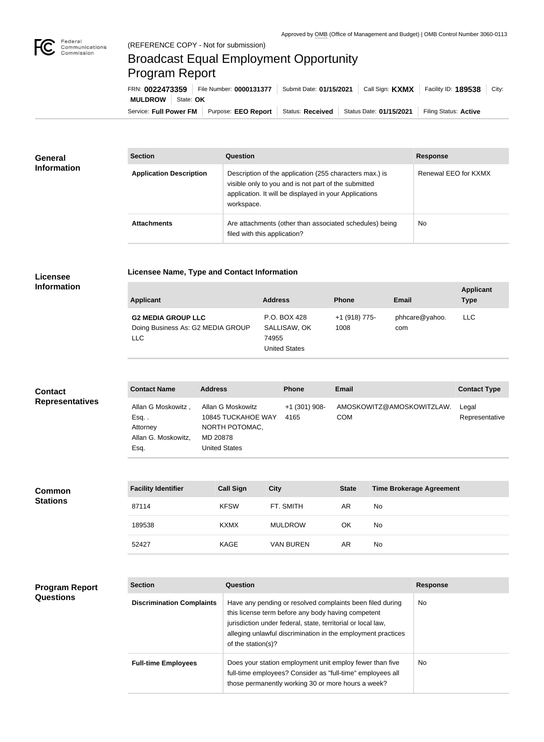## Broadcast Equal Employment Opportunity Program Report

**Licensee Name, Type and Contact Information**

Service: Full Power FM Purpose: EEO Report | Status: Received | Status Date: 01/15/2021 | Filing Status: Active **MULDROW** | State: OK FRN: **0022473359** File Number: **0000131377** Submit Date: **01/15/2021** Call Sign: **KXMX** Facility ID: **189538** City:

| <b>General</b>     | <b>Section</b>                 | <b>Question</b>                                                                                                                                                                         | <b>Response</b>      |
|--------------------|--------------------------------|-----------------------------------------------------------------------------------------------------------------------------------------------------------------------------------------|----------------------|
| <b>Information</b> | <b>Application Description</b> | Description of the application (255 characters max.) is<br>visible only to you and is not part of the submitted<br>application. It will be displayed in your Applications<br>workspace. | Renewal EEO for KXMX |
|                    | <b>Attachments</b>             | Are attachments (other than associated schedules) being<br>filed with this application?                                                                                                 | No                   |

## **Licensee Information**

| <b>Applicant</b>                                                             | <b>Address</b>                                                | <b>Phone</b>          | <b>Email</b>          | <b>Applicant</b><br><b>Type</b> |
|------------------------------------------------------------------------------|---------------------------------------------------------------|-----------------------|-----------------------|---------------------------------|
| <b>G2 MEDIA GROUP LLC</b><br>Doing Business As: G2 MEDIA GROUP<br><b>LLC</b> | P.O. BOX 428<br>SALLISAW, OK<br>74955<br><b>United States</b> | +1 (918) 775-<br>1008 | phhcare@yahoo.<br>com | LLC.                            |

## **Contact Name Address Phone Email Contact Type** Allan G Moskowitz , Esq. . Attorney Allan G. Moskowitz, Esq. Allan G Moskowitz 10845 TUCKAHOE WAY NORTH POTOMAC, MD 20878 United States +1 (301) 908- 4165 AMOSKOWITZ@AMOSKOWITZLAW. Legal COM Representative **Contact Representatives**

| <b>Common</b>   | <b>Facility Identifier</b> | <b>Call Sign</b> | <b>City</b>      | <b>State</b> | <b>Time Brokerage Agreement</b> |
|-----------------|----------------------------|------------------|------------------|--------------|---------------------------------|
| <b>Stations</b> | 87114                      | <b>KFSW</b>      | FT. SMITH        | AR.          | <b>No</b>                       |
|                 | 189538                     | <b>KXMX</b>      | <b>MULDROW</b>   | OK           | No                              |
|                 | 52427                      | <b>KAGE</b>      | <b>VAN BUREN</b> | AR.          | No                              |

| <b>Program Report</b> | <b>Section</b>                   | Question                                                                                                                                                                                                                                                              | <b>Response</b> |
|-----------------------|----------------------------------|-----------------------------------------------------------------------------------------------------------------------------------------------------------------------------------------------------------------------------------------------------------------------|-----------------|
| <b>Questions</b>      | <b>Discrimination Complaints</b> | Have any pending or resolved complaints been filed during<br>this license term before any body having competent<br>jurisdiction under federal, state, territorial or local law,<br>alleging unlawful discrimination in the employment practices<br>of the station(s)? | No.             |
|                       | <b>Full-time Employees</b>       | Does your station employment unit employ fewer than five<br>full-time employees? Consider as "full-time" employees all<br>those permanently working 30 or more hours a week?                                                                                          | No.             |